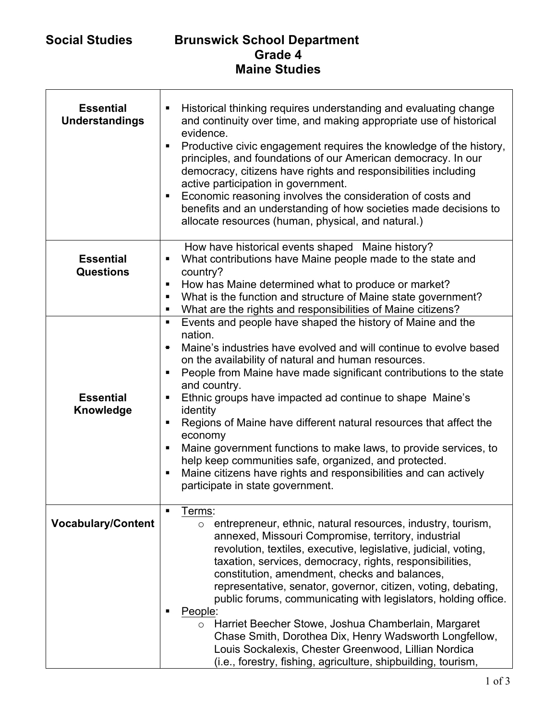## **Social Studies Brunswick School Department Grade 4 Maine Studies**

| <b>Essential</b><br><b>Understandings</b> | Historical thinking requires understanding and evaluating change<br>п<br>and continuity over time, and making appropriate use of historical<br>evidence.<br>Productive civic engagement requires the knowledge of the history,<br>٠<br>principles, and foundations of our American democracy. In our<br>democracy, citizens have rights and responsibilities including<br>active participation in government.<br>Economic reasoning involves the consideration of costs and<br>٠<br>benefits and an understanding of how societies made decisions to<br>allocate resources (human, physical, and natural.)                                                                                                                           |
|-------------------------------------------|--------------------------------------------------------------------------------------------------------------------------------------------------------------------------------------------------------------------------------------------------------------------------------------------------------------------------------------------------------------------------------------------------------------------------------------------------------------------------------------------------------------------------------------------------------------------------------------------------------------------------------------------------------------------------------------------------------------------------------------|
| <b>Essential</b><br><b>Questions</b>      | How have historical events shaped Maine history?<br>What contributions have Maine people made to the state and<br>٠<br>country?<br>How has Maine determined what to produce or market?<br>٠<br>What is the function and structure of Maine state government?<br>٠<br>What are the rights and responsibilities of Maine citizens?<br>ш                                                                                                                                                                                                                                                                                                                                                                                                |
| <b>Essential</b><br>Knowledge             | Events and people have shaped the history of Maine and the<br>ш<br>nation.<br>Maine's industries have evolved and will continue to evolve based<br>$\blacksquare$<br>on the availability of natural and human resources.<br>People from Maine have made significant contributions to the state<br>٠<br>and country.<br>Ethnic groups have impacted ad continue to shape Maine's<br>٠<br>identity<br>Regions of Maine have different natural resources that affect the<br>٠<br>economy<br>Maine government functions to make laws, to provide services, to<br>٠<br>help keep communities safe, organized, and protected.<br>Maine citizens have rights and responsibilities and can actively<br>П<br>participate in state government. |
| <b>Vocabulary/Content</b>                 | Terms:<br>entrepreneur, ethnic, natural resources, industry, tourism,<br>$\circ$<br>annexed, Missouri Compromise, territory, industrial<br>revolution, textiles, executive, legislative, judicial, voting,<br>taxation, services, democracy, rights, responsibilities,<br>constitution, amendment, checks and balances,<br>representative, senator, governor, citizen, voting, debating,<br>public forums, communicating with legislators, holding office.<br>People:<br>o Harriet Beecher Stowe, Joshua Chamberlain, Margaret<br>Chase Smith, Dorothea Dix, Henry Wadsworth Longfellow,<br>Louis Sockalexis, Chester Greenwood, Lillian Nordica<br>(i.e., forestry, fishing, agriculture, shipbuilding, tourism,                    |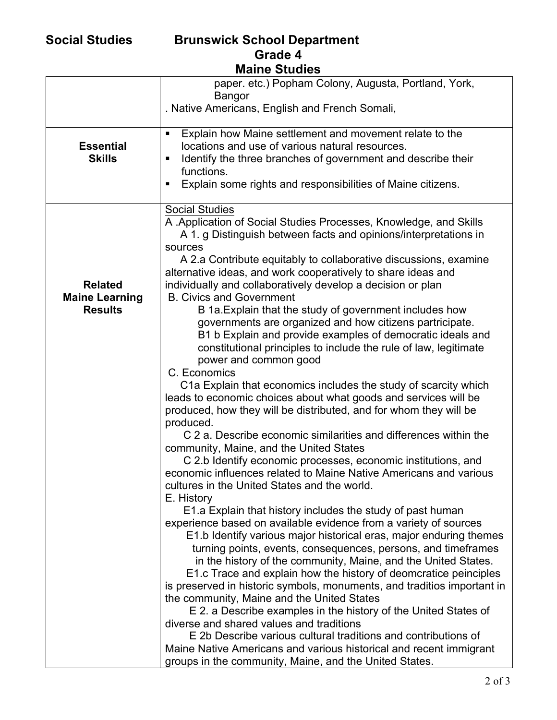|                       | טטוווט טנעשוט                                                                                                                      |
|-----------------------|------------------------------------------------------------------------------------------------------------------------------------|
|                       | paper. etc.) Popham Colony, Augusta, Portland, York,<br><b>Bangor</b>                                                              |
|                       | . Native Americans, English and French Somali,                                                                                     |
|                       |                                                                                                                                    |
| <b>Essential</b>      | Explain how Maine settlement and movement relate to the<br>п<br>locations and use of various natural resources.                    |
| <b>Skills</b>         | Identify the three branches of government and describe their                                                                       |
|                       | functions.                                                                                                                         |
|                       | Explain some rights and responsibilities of Maine citizens.<br>п                                                                   |
|                       |                                                                                                                                    |
|                       | <b>Social Studies</b><br>A Application of Social Studies Processes, Knowledge, and Skills                                          |
|                       | A 1. g Distinguish between facts and opinions/interpretations in                                                                   |
|                       | sources                                                                                                                            |
|                       | A 2.a Contribute equitably to collaborative discussions, examine                                                                   |
|                       | alternative ideas, and work cooperatively to share ideas and                                                                       |
| <b>Related</b>        | individually and collaboratively develop a decision or plan                                                                        |
| <b>Maine Learning</b> | <b>B. Civics and Government</b>                                                                                                    |
| <b>Results</b>        | B 1a. Explain that the study of government includes how                                                                            |
|                       | governments are organized and how citizens partricipate.<br>B1 b Explain and provide examples of democratic ideals and             |
|                       | constitutional principles to include the rule of law, legitimate                                                                   |
|                       | power and common good                                                                                                              |
|                       | C. Economics                                                                                                                       |
|                       | C1a Explain that economics includes the study of scarcity which                                                                    |
|                       | leads to economic choices about what goods and services will be                                                                    |
|                       | produced, how they will be distributed, and for whom they will be                                                                  |
|                       | produced.                                                                                                                          |
|                       | C 2 a. Describe economic similarities and differences within the                                                                   |
|                       | community, Maine, and the United States                                                                                            |
|                       | C 2.b Identify economic processes, economic institutions, and<br>economic influences related to Maine Native Americans and various |
|                       | cultures in the United States and the world.                                                                                       |
|                       | E. History                                                                                                                         |
|                       | E1.a Explain that history includes the study of past human                                                                         |
|                       | experience based on available evidence from a variety of sources                                                                   |
|                       | E1.b Identify various major historical eras, major enduring themes                                                                 |
|                       | turning points, events, consequences, persons, and timeframes                                                                      |
|                       | in the history of the community, Maine, and the United States.                                                                     |
|                       | E1.c Trace and explain how the history of deomcratice peinciples                                                                   |
|                       | is preserved in historic symbols, monuments, and traditios important in                                                            |
|                       | the community, Maine and the United States                                                                                         |
|                       | E 2. a Describe examples in the history of the United States of<br>diverse and shared values and traditions                        |
|                       | E 2b Describe various cultural traditions and contributions of                                                                     |
|                       | Maine Native Americans and various historical and recent immigrant                                                                 |
|                       | groups in the community, Maine, and the United States.                                                                             |